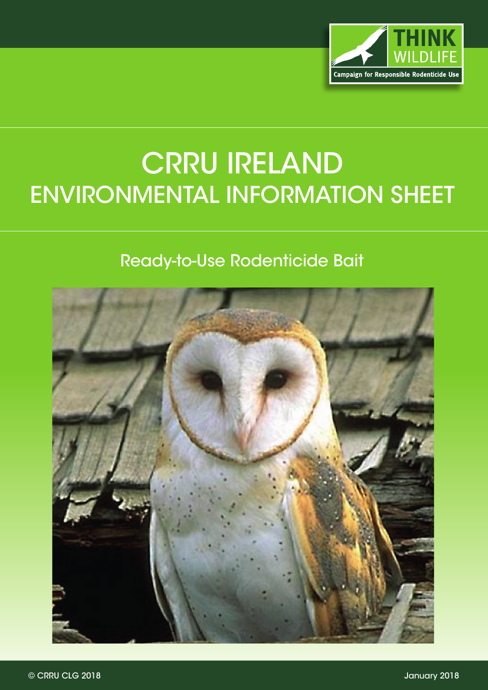

## CRRU IRELAND ENVIRONMENTAL INFORMATION SHEET

## Ready-to-Use Rodenticide Bait

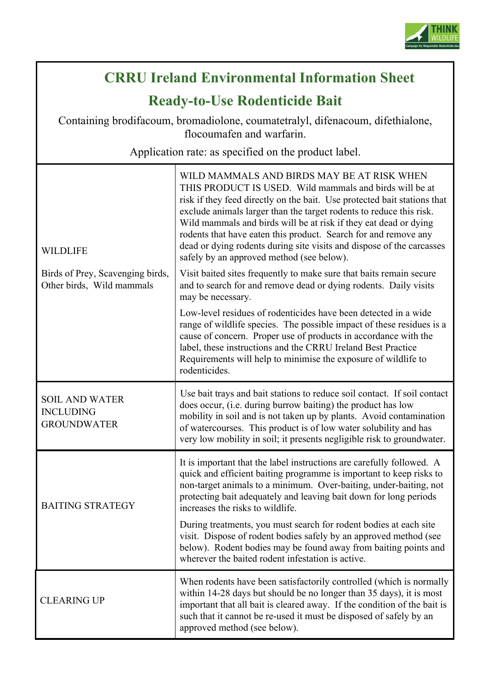

## **CRRUCRRU Ireland Environmental Information Sheet**

**Ready-to-Use Rodenticide Bait**

Containing brodifacoum, bromadiolone, coumatetralyl, difenacoum, difethialone, flocoumafen and warfarin.

Application rate: as specified on the product label.

| <b>WILDLIFE</b>                                                 | WILD MAMMALS AND BIRDS MAY BE AT RISK WHEN<br>THIS PRODUCT IS USED. Wild mammals and birds will be at<br>risk if they feed directly on the bait. Use protected bait stations that<br>exclude animals larger than the target rodents to reduce this risk.<br>Wild mammals and birds will be at risk if they eat dead or dying<br>rodents that have eaten this product. Search for and remove any<br>dead or dying rodents during site visits and dispose of the carcasses<br>safely by an approved method (see below). |
|-----------------------------------------------------------------|-----------------------------------------------------------------------------------------------------------------------------------------------------------------------------------------------------------------------------------------------------------------------------------------------------------------------------------------------------------------------------------------------------------------------------------------------------------------------------------------------------------------------|
| Birds of Prey, Scavenging birds,<br>Other birds, Wild mammals   | Visit baited sites frequently to make sure that baits remain secure<br>and to search for and remove dead or dying rodents. Daily visits<br>may be necessary.                                                                                                                                                                                                                                                                                                                                                          |
|                                                                 | Low-level residues of rodenticides have been detected in a wide<br>range of wildlife species. The possible impact of these residues is a<br>cause of concern. Proper use of products in accordance with the<br>label, these instructions and the CRRU Ireland Best Practice<br>Requirements will help to minimise the exposure of wildlife to<br>rodenticides.                                                                                                                                                        |
| <b>SOIL AND WATER</b><br><b>INCLUDING</b><br><b>GROUNDWATER</b> | Use bait trays and bait stations to reduce soil contact. If soil contact<br>does occur, (i.e. during burrow baiting) the product has low<br>mobility in soil and is not taken up by plants. Avoid contamination<br>of watercourses. This product is of low water solubility and has<br>very low mobility in soil; it presents negligible risk to groundwater.                                                                                                                                                         |
| <b>BAITING STRATEGY</b>                                         | It is important that the label instructions are carefully followed. A<br>quick and efficient baiting programme is important to keep risks to<br>non-target animals to a minimum. Over-baiting, under-baiting, not<br>protecting bait adequately and leaving bait down for long periods<br>increases the risks to wildlife.                                                                                                                                                                                            |
|                                                                 | During treatments, you must search for rodent bodies at each site<br>visit. Dispose of rodent bodies safely by an approved method (see<br>below). Rodent bodies may be found away from baiting points and<br>wherever the baited rodent infestation is active.                                                                                                                                                                                                                                                        |
| <b>CLEARING UP</b>                                              | When rodents have been satisfactorily controlled (which is normally<br>within 14-28 days but should be no longer than 35 days), it is most<br>important that all bait is cleared away. If the condition of the bait is<br>such that it cannot be re-used it must be disposed of safely by an<br>approved method (see below).                                                                                                                                                                                          |